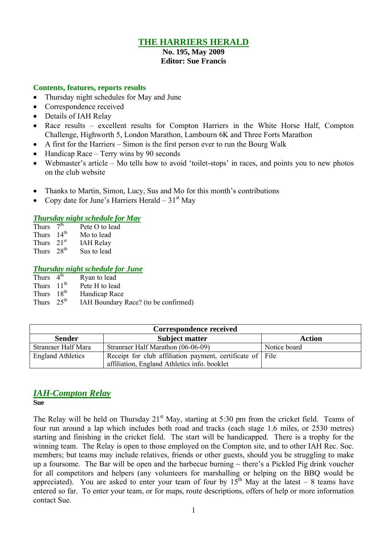## **THE HARRIERS HERALD**

# **No. 195, May 2009**

# **Editor: Sue Francis**

#### **Contents, features, reports results**

- Thursday night schedules for May and June
- Correspondence received
- Details of IAH Relay
- Race results excellent results for Compton Harriers in the White Horse Half, Compton Challenge, Highworth 5, London Marathon, Lambourn 6K and Three Forts Marathon
- A first for the Harriers Simon is the first person ever to run the Bourg Walk
- Handicap Race Terry wins by 90 seconds
- Webmaster's article Mo tells how to avoid 'toilet-stops' in races, and points you to new photos on the club website
- Thanks to Martin, Simon, Lucy, Sus and Mo for this month's contributions
- Copy date for June's Harriers Herald  $31<sup>st</sup>$  May

#### *Thursday night schedule for May*

| <b>Thurs</b> | 7 <sup>th</sup>  | Pete O to lead   |
|--------------|------------------|------------------|
| <b>Thurs</b> | 14 <sup>th</sup> | Mo to lead       |
| Thurs        | 21 <sup>st</sup> | <b>IAH Relay</b> |
| <b>Thurs</b> | $28^{th}$        | Sus to lead      |

#### *Thursday night schedule for June*

| Thurs $4th$            | Ryan to lead                         |
|------------------------|--------------------------------------|
| Thurs $11th$           | Pete H to lead                       |
| Thurs $18th$           | Handicap Race                        |
| Thurs $25^{\text{th}}$ | IAH Boundary Race? (to be confirmed) |

| Correspondence received  |                                                           |              |  |  |  |  |  |
|--------------------------|-----------------------------------------------------------|--------------|--|--|--|--|--|
| <b>Sender</b>            | Action                                                    |              |  |  |  |  |  |
| Stranraer Half Mara      | Stranraer Half Marathon (06-06-09)                        | Notice board |  |  |  |  |  |
| <b>England Athletics</b> | Receipt for club affiliation payment, certificate of File |              |  |  |  |  |  |
|                          | affiliation, England Athletics info. booklet              |              |  |  |  |  |  |

## *IAH-Compton Relay*

**Sue**

The Relay will be held on Thursday  $21<sup>st</sup>$  May, starting at 5:30 pm from the cricket field. Teams of four run around a lap which includes both road and tracks (each stage 1.6 miles, or 2530 metres) starting and finishing in the cricket field. The start will be handicapped. There is a trophy for the winning team. The Relay is open to those employed on the Compton site, and to other IAH Rec. Soc. members; but teams may include relatives, friends or other guests, should you be struggling to make up a foursome. The Bar will be open and the barbecue burning  $\sim$  there's a Pickled Pig drink voucher for all competitors and helpers (any volunteers for marshalling or helping on the BBQ would be appreciated). You are asked to enter your team of four by  $15^{th}$  May at the latest – 8 teams have entered so far. To enter your team, or for maps, route descriptions, offers of help or more information contact Sue.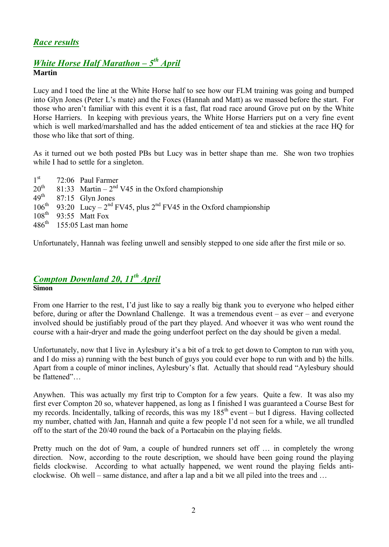# *Race results*

## *White Horse Half Marathon – 5 th April* **Martin**

Lucy and I toed the line at the White Horse half to see how our FLM training was going and bumped into Glyn Jones (Peter L's mate) and the Foxes (Hannah and Matt) as we massed before the start. For those who aren't familiar with this event it is a fast, flat road race around Grove put on by the White Horse Harriers. In keeping with previous years, the White Horse Harriers put on a very fine event which is well marked/marshalled and has the added enticement of tea and stickies at the race HQ for those who like that sort of thing.

As it turned out we both posted PBs but Lucy was in better shape than me. She won two trophies while I had to settle for a singleton.

 $\frac{1^{st}}{20^{th}}$ 72:06 Paul Farmer  $20<sup>th</sup>$  81:33 Martin – 2<sup>nd</sup> V45 in the Oxford championship 49<sup>th</sup> 87:15 Glyn Jones<br>106<sup>th</sup> 93:20 Lucv – 2<sup>nd</sup> I  $106<sup>th</sup>$  93:20 Lucy –  $2<sup>nd</sup>$  FV45, plus  $2<sup>nd</sup>$  FV45 in the Oxford championship  $108^{\text{th}}$  93:55 Matt Fox<br>486<sup>th</sup> 155:05 Last man  $155:05$  Last man home

Unfortunately, Hannah was feeling unwell and sensibly stepped to one side after the first mile or so.

### *Compton Downland 20, 11th April* **Simon**

From one Harrier to the rest, I'd just like to say a really big thank you to everyone who helped either before, during or after the Downland Challenge. It was a tremendous event – as ever – and everyone involved should be justifiably proud of the part they played. And whoever it was who went round the course with a hair-dryer and made the going underfoot perfect on the day should be given a medal.

Unfortunately, now that I live in Aylesbury it's a bit of a trek to get down to Compton to run with you, and I do miss a) running with the best bunch of guys you could ever hope to run with and b) the hills. Apart from a couple of minor inclines, Aylesbury's flat. Actually that should read "Aylesbury should be flattened"…

Anywhen. This was actually my first trip to Compton for a few years. Quite a few. It was also my first ever Compton 20 so, whatever happened, as long as I finished I was guaranteed a Course Best for my records. Incidentally, talking of records, this was my  $185<sup>th</sup>$  event – but I digress. Having collected my number, chatted with Jan, Hannah and quite a few people I'd not seen for a while, we all trundled off to the start of the 20/40 round the back of a Portacabin on the playing fields.

Pretty much on the dot of 9am, a couple of hundred runners set off … in completely the wrong direction. Now, according to the route description, we should have been going round the playing fields clockwise. According to what actually happened, we went round the playing fields anticlockwise. Oh well – same distance, and after a lap and a bit we all piled into the trees and …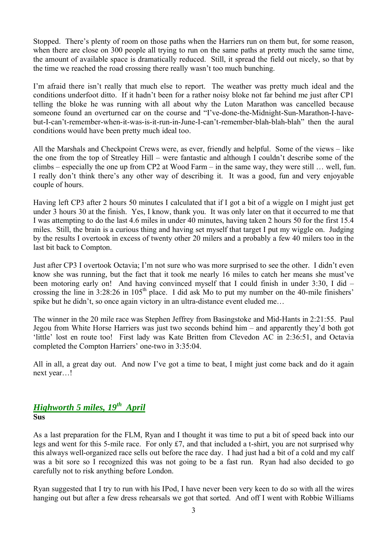Stopped. There's plenty of room on those paths when the Harriers run on them but, for some reason, when there are close on 300 people all trying to run on the same paths at pretty much the same time, the amount of available space is dramatically reduced. Still, it spread the field out nicely, so that by the time we reached the road crossing there really wasn't too much bunching.

I'm afraid there isn't really that much else to report. The weather was pretty much ideal and the conditions underfoot ditto. If it hadn't been for a rather noisy bloke not far behind me just after CP1 telling the bloke he was running with all about why the Luton Marathon was cancelled because someone found an overturned car on the course and "I've-done-the-Midnight-Sun-Marathon-I-havebut-I-can't-remember-when-it-was-is-it-run-in-June-I-can't-remember-blah-blah-blah" then the aural conditions would have been pretty much ideal too.

All the Marshals and Checkpoint Crews were, as ever, friendly and helpful. Some of the views – like the one from the top of Streatley Hill – were fantastic and although I couldn't describe some of the climbs – especially the one up from CP2 at Wood Farm – in the same way, they were still … well, fun. I really don't think there's any other way of describing it. It was a good, fun and very enjoyable couple of hours.

Having left CP3 after 2 hours 50 minutes I calculated that if I got a bit of a wiggle on I might just get under 3 hours 30 at the finish. Yes, I know, thank you. It was only later on that it occurred to me that I was attempting to do the last 4.6 miles in under 40 minutes, having taken 2 hours 50 for the first 15.4 miles. Still, the brain is a curious thing and having set myself that target I put my wiggle on. Judging by the results I overtook in excess of twenty other 20 milers and a probably a few 40 milers too in the last bit back to Compton.

Just after CP3 I overtook Octavia; I'm not sure who was more surprised to see the other. I didn't even know she was running, but the fact that it took me nearly 16 miles to catch her means she must've been motoring early on! And having convinced myself that I could finish in under 3:30, I did – crossing the line in  $3:28:26$  in  $105<sup>th</sup>$  place. I did ask Mo to put my number on the 40-mile finishers' spike but he didn't, so once again victory in an ultra-distance event eluded me…

The winner in the 20 mile race was Stephen Jeffrey from Basingstoke and Mid-Hants in 2:21:55. Paul Jegou from White Horse Harriers was just two seconds behind him – and apparently they'd both got 'little' lost en route too! First lady was Kate Britten from Clevedon AC in 2:36:51, and Octavia completed the Compton Harriers' one-two in 3:35:04.

All in all, a great day out. And now I've got a time to beat, I might just come back and do it again next year…!

# *Highworth 5 miles, 19th April*

**Sus**

As a last preparation for the FLM, Ryan and I thought it was time to put a bit of speed back into our legs and went for this 5-mile race. For only  $\pounds$ 7, and that included a t-shirt, you are not surprised why this always well-organized race sells out before the race day. I had just had a bit of a cold and my calf was a bit sore so I recognized this was not going to be a fast run. Ryan had also decided to go carefully not to risk anything before London.

Ryan suggested that I try to run with his IPod, I have never been very keen to do so with all the wires hanging out but after a few dress rehearsals we got that sorted. And off I went with Robbie Williams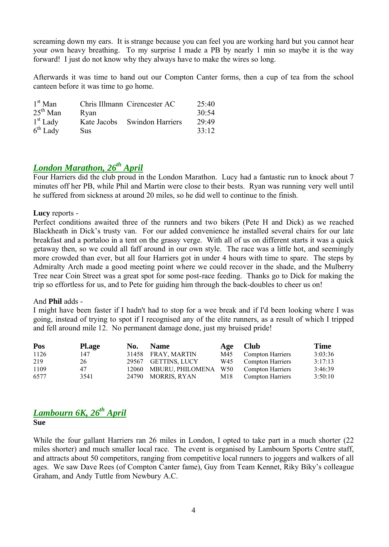screaming down my ears. It is strange because you can feel you are working hard but you cannot hear your own heavy breathing. To my surprise I made a PB by nearly 1 min so maybe it is the way forward! I just do not know why they always have to make the wires so long.

Afterwards it was time to hand out our Compton Canter forms, then a cup of tea from the school canteen before it was time to go home.

| $1st$ Man  |             | Chris Illmann Cirencester AC | 25:40 |
|------------|-------------|------------------------------|-------|
| $25th$ Man | Ryan        |                              | 30:54 |
| $1st$ Lady | Kate Jacobs | <b>Swindon Harriers</b>      | 29:49 |
| $6th$ Lady | Sus         |                              | 33:12 |

# *London Marathon, 26th April*

Four Harriers did the club proud in the London Marathon. Lucy had a fantastic run to knock about 7 minutes off her PB, while Phil and Martin were close to their bests. Ryan was running very well until he suffered from sickness at around 20 miles, so he did well to continue to the finish.

#### **Lucy** reports -

Perfect conditions awaited three of the runners and two bikers (Pete H and Dick) as we reached Blackheath in Dick's trusty van. For our added convenience he installed several chairs for our late breakfast and a portaloo in a tent on the grassy verge. With all of us on different starts it was a quick getaway then, so we could all faff around in our own style. The race was a little hot, and seemingly more crowded than ever, but all four Harriers got in under 4 hours with time to spare. The steps by Admiralty Arch made a good meeting point where we could recover in the shade, and the Mulberry Tree near Coin Street was a great spot for some post-race feeding. Thanks go to Dick for making the trip so effortless for us, and to Pete for guiding him through the back-doubles to cheer us on!

#### And **Phil** adds -

I might have been faster if I hadn't had to stop for a wee break and if I'd been looking where I was going, instead of trying to spot if I recognised any of the elite runners, as a result of which I tripped and fell around mile 12. No permanent damage done, just my bruised pride!

| Pos  | <b>Pl.age</b> | No. | <b>Name</b>            | Age | <b>Club</b>          | <b>Time</b> |
|------|---------------|-----|------------------------|-----|----------------------|-------------|
| 1126 | 147           |     | 31458 FRAY, MARTIN     | M45 | Compton Harriers     | 3:03:36     |
| 219  | 26            |     | 29567 GETTINS, LUCY    | W45 | Compton Harriers     | 3:17:13     |
| 1109 | 47            |     | 12060 MBURU, PHILOMENA |     | W50 Compton Harriers | 3:46:39     |
| 6577 | 3541          |     | 24790 MORRIS, RYAN     | M18 | Compton Harriers     | 3:50:10     |

# *Lambourn 6K, 26th April*

**Sue**

While the four gallant Harriers ran 26 miles in London, I opted to take part in a much shorter (22 miles shorter) and much smaller local race. The event is organised by Lambourn Sports Centre staff, and attracts about 50 competitors, ranging from competitive local runners to joggers and walkers of all ages. We saw Dave Rees (of Compton Canter fame), Guy from Team Kennet, Riky Biky's colleague Graham, and Andy Tuttle from Newbury A.C.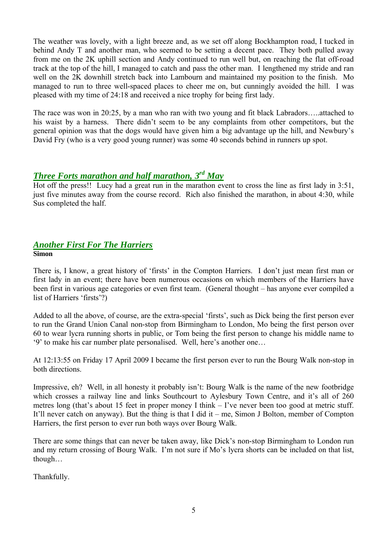The weather was lovely, with a light breeze and, as we set off along Bockhampton road, I tucked in behind Andy T and another man, who seemed to be setting a decent pace. They both pulled away from me on the 2K uphill section and Andy continued to run well but, on reaching the flat off-road track at the top of the hill, I managed to catch and pass the other man. I lengthened my stride and ran well on the 2K downhill stretch back into Lambourn and maintained my position to the finish. Mo managed to run to three well-spaced places to cheer me on, but cunningly avoided the hill. I was pleased with my time of 24:18 and received a nice trophy for being first lady.

The race was won in 20:25, by a man who ran with two young and fit black Labradors…..attached to his waist by a harness. There didn't seem to be any complaints from other competitors, but the general opinion was that the dogs would have given him a big advantage up the hill, and Newbury's David Fry (who is a very good young runner) was some 40 seconds behind in runners up spot.

# *Three Forts marathon and half marathon, 3 rd May*

Hot off the press!! Lucy had a great run in the marathon event to cross the line as first lady in 3:51, just five minutes away from the course record. Rich also finished the marathon, in about 4:30, while Sus completed the half.

#### *Another First For The Harriers* **Simon**

There is, I know, a great history of 'firsts' in the Compton Harriers. I don't just mean first man or first lady in an event; there have been numerous occasions on which members of the Harriers have been first in various age categories or even first team. (General thought – has anyone ever compiled a list of Harriers 'firsts'?)

Added to all the above, of course, are the extra-special 'firsts', such as Dick being the first person ever to run the Grand Union Canal non-stop from Birmingham to London, Mo being the first person over 60 to wear lycra running shorts in public, or Tom being the first person to change his middle name to '9' to make his car number plate personalised. Well, here's another one…

At 12:13:55 on Friday 17 April 2009 I became the first person ever to run the Bourg Walk non-stop in both directions.

Impressive, eh? Well, in all honesty it probably isn't: Bourg Walk is the name of the new footbridge which crosses a railway line and links Southcourt to Aylesbury Town Centre, and it's all of 260 metres long (that's about 15 feet in proper money I think – I've never been too good at metric stuff. It'll never catch on anyway). But the thing is that I did it – me, Simon J Bolton, member of Compton Harriers, the first person to ever run both ways over Bourg Walk.

There are some things that can never be taken away, like Dick's non-stop Birmingham to London run and my return crossing of Bourg Walk. I'm not sure if Mo's lycra shorts can be included on that list, though…

Thankfully.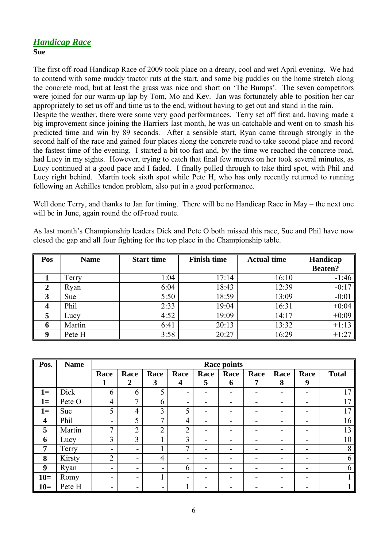### *Handicap Race* **Sue**

The first off-road Handicap Race of 2009 took place on a dreary, cool and wet April evening. We had to contend with some muddy tractor ruts at the start, and some big puddles on the home stretch along the concrete road, but at least the grass was nice and short on 'The Bumps'. The seven competitors were joined for our warm-up lap by Tom, Mo and Kev. Jan was fortunately able to position her car appropriately to set us off and time us to the end, without having to get out and stand in the rain. Despite the weather, there were some very good performances. Terry set off first and, having made a big improvement since joining the Harriers last month, he was un-catchable and went on to smash his predicted time and win by 89 seconds. After a sensible start, Ryan came through strongly in the second half of the race and gained four places along the concrete road to take second place and record the fastest time of the evening. I started a bit too fast and, by the time we reached the concrete road, had Lucy in my sights. However, trying to catch that final few metres on her took several minutes, as Lucy continued at a good pace and I faded. I finally pulled through to take third spot, with Phil and Lucy right behind. Martin took sixth spot while Pete H, who has only recently returned to running following an Achilles tendon problem, also put in a good performance.

Well done Terry, and thanks to Jan for timing. There will be no Handicap Race in May – the next one will be in June, again round the off-road route.

As last month's Championship leaders Dick and Pete O both missed this race, Sue and Phil have now closed the gap and all four fighting for the top place in the Championship table.

| Pos | <b>Name</b> | <b>Start time</b> | <b>Finish time</b> | <b>Actual time</b> | Handicap       |  |
|-----|-------------|-------------------|--------------------|--------------------|----------------|--|
|     |             |                   |                    |                    | <b>Beaten?</b> |  |
|     | Terry       | 1:04              | 17:14              | 16:10              | $-1:46$        |  |
| 2   | Ryan        | 6:04              | 18:43              | 12:39              | $-0:17$        |  |
| 3   | <b>Sue</b>  | 5:50              | 18:59              | 13:09              | $-0:01$        |  |
|     | Phil        | 2:33              | 19:04              | 16:31              | $+0:04$        |  |
|     | Lucy        | 4:52              | 19:09              | 14:17              | $+0:09$        |  |
| 6   | Martin      | 6:41              | 20:13              | 13:32              | $+1:13$        |  |
| q   | Pete H      | 3:58              | 20:27              | 16:29              | $+1:27$        |  |

| Pos.                    | <b>Name</b> | <b>Race points</b> |                |                |                         |      |      |      |      |                          |              |
|-------------------------|-------------|--------------------|----------------|----------------|-------------------------|------|------|------|------|--------------------------|--------------|
|                         |             | Race               | Race           | Race           | Race                    | Race | Race | Race | Race | Race                     | <b>Total</b> |
|                         |             | 1                  | $\overline{2}$ | 3              | $\overline{\mathbf{4}}$ | 5    | 6    | 7    | 8    | 9                        |              |
| $\mathbf{l}$ =          | Dick        | 6                  | 6              | 5              | Ξ.                      | -    |      |      |      | -                        | 17           |
| $1=$                    | Pete O      | 4                  | $\mathbf{z}$   | 6              | Ξ.                      | -    |      |      |      | $\overline{\phantom{a}}$ | 17           |
| $1=$                    | Sue         | 5                  | $\overline{4}$ | $\overline{3}$ | 5                       |      |      |      |      |                          | 17           |
| $\overline{\mathbf{4}}$ | Phil        | $\blacksquare$     | 5              | $\mathbf{r}$   | $\overline{4}$          | ۰    |      |      |      | ۰                        | 16           |
| 5                       | Martin      | 7                  | $\overline{2}$ | $\gamma$<br>∠  | $\overline{2}$          |      |      |      |      |                          | 13           |
| 6                       | Lucy        | 3                  | $\overline{3}$ |                | 3                       | ۰    |      |      |      |                          | 10           |
| $\overline{7}$          | Terry       | $\blacksquare$     | $\blacksquare$ |                | 7                       | -    |      |      |      | ۰                        | 8            |
| 8                       | Kirsty      | $\overline{2}$     | $\blacksquare$ | $\overline{4}$ | -                       |      |      |      |      |                          | 6            |
| 9                       | Ryan        | $\blacksquare$     | $\blacksquare$ | -              | 6                       | -    |      |      |      | ۰                        | 6            |
| $10=$                   | Romy        | $\blacksquare$     | $\blacksquare$ |                | -                       |      |      |      |      |                          |              |
| $10=$                   | Pete H      | -                  | -              | -              |                         |      |      |      |      |                          |              |